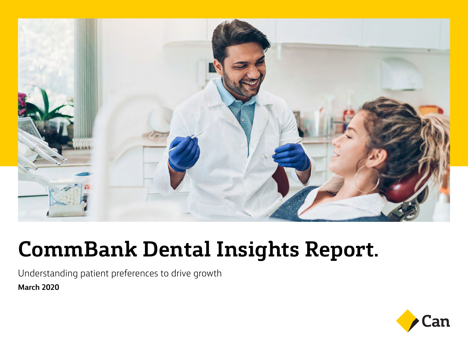

# **CommBank Dental Insights Report.**

Understanding patient preferences to drive growth **March 2020**

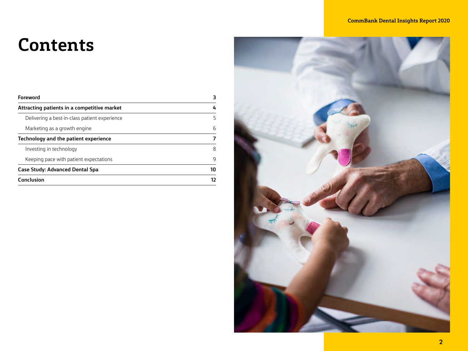### **Contents**

| <b>Foreword</b>                               | З  |
|-----------------------------------------------|----|
| Attracting patients in a competitive market   | 4  |
| Delivering a best-in-class patient experience | 5  |
| Marketing as a growth engine                  | 6  |
| Technology and the patient experience         | 7  |
| Investing in technology                       | 8  |
| Keeping pace with patient expectations        | 9  |
| <b>Case Study: Advanced Dental Spa</b>        | 10 |
| <b>Conclusion</b>                             | 12 |
|                                               |    |

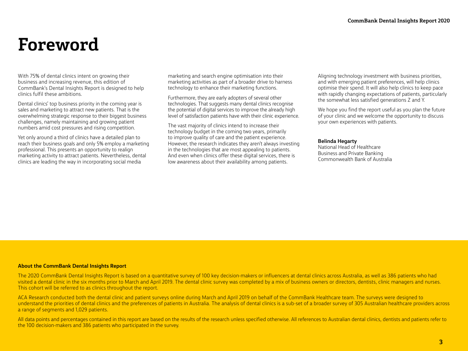### **Foreword**

With 75% of dental clinics intent on growing their business and increasing revenue, this edition of CommBank's Dental Insights Report is designed to help clinics fulfil these ambitions.

Dental clinics' top business priority in the coming year is sales and marketing to attract new patients. That is the overwhelming strategic response to their biggest business challenges, namely maintaining and growing patient numbers amid cost pressures and rising competition.

Yet only around a third of clinics have a detailed plan to reach their business goals and only 5% employ a marketing professional. This presents an opportunity to realign marketing activity to attract patients. Nevertheless, dental clinics are leading the way in incorporating social media

marketing and search engine optimisation into their marketing activities as part of a broader drive to harness technology to enhance their marketing functions.

Furthermore, they are early adopters of several other technologies. That suggests many dental clinics recognise the potential of digital services to improve the already high level of satisfaction patients have with their clinic experience.

The vast majority of clinics intend to increase their technology budget in the coming two years, primarily to improve quality of care and the patient experience. However, the research indicates they aren't always investing in the technologies that are most appealing to patients. And even when clinics offer these digital services, there is low awareness about their availability among patients.

Aligning technology investment with business priorities, and with emerging patient preferences, will help clinics optimise their spend. It will also help clinics to keep pace with rapidly changing expectations of patients, particularly the somewhat less satisfied generations Z and Y.

We hope you find the report useful as you plan the future of your clinic and we welcome the opportunity to discuss your own experiences with patients.

#### **Belinda Hegarty**

National Head of Healthcare Business and Private Banking Commonwealth Bank of Australia

#### **About the CommBank Dental Insights Report**

The 2020 CommBank Dental Insights Report is based on a quantitative survey of 100 key decision-makers or influencers at dental clinics across Australia, as well as 386 patients who had visited a dental clinic in the six months prior to March and April 2019. The dental clinic survey was completed by a mix of business owners or directors, dentists, clinic managers and nurses. This cohort will be referred to as clinics throughout the report.

ACA Research conducted both the dental clinic and patient surveys online during March and April 2019 on behalf of the CommBank Healthcare team. The surveys were designed to understand the priorities of dental clinics and the preferences of patients in Australia. The analysis of dental clinics is a sub-set of a broader survey of 305 Australian healthcare providers across a range of segments and 1,029 patients.

All data points and percentages contained in this report are based on the results of the research unless specified otherwise. All references to Australian dental clinics, dentists and patients refer to the 100 decision-makers and 386 patients who participated in the survey.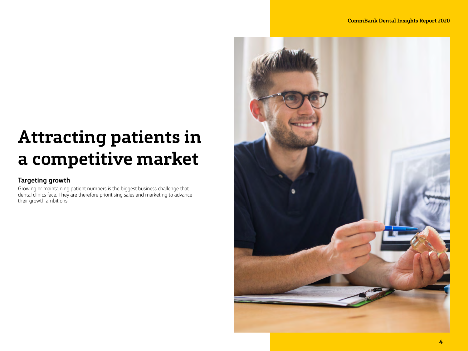### **Attracting patients in a competitive market**

### **Targeting growth**

Growing or maintaining patient numbers is the biggest business challenge that dental clinics face. They are therefore prioritising sales and marketing to advance their growth ambitions.

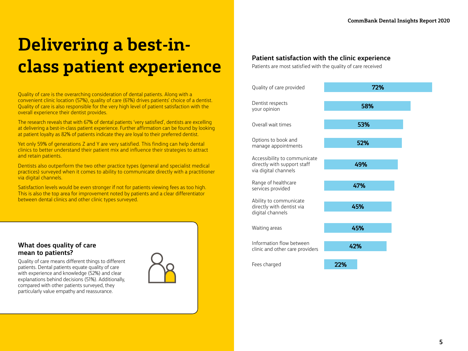### **Delivering a best-inclass patient experience**

Quality of care is the overarching consideration of dental patients. Along with a convenient clinic location (57%), quality of care (61%) drives patients' choice of a dentist. Quality of care is also responsible for the very high level of patient satisfaction with the overall experience their dentist provides.

The research reveals that with 67% of dental patients 'very satisfied', dentists are excelling at delivering a best-in-class patient experience. Further affirmation can be found by looking at patient loyalty as 82% of patients indicate they are loyal to their preferred dentist.

Yet only 59% of generations Z and Y are very satisfied. This finding can help dental clinics to better understand their patient mix and influence their strategies to attract and retain patients.

Dentists also outperform the two other practice types (general and specialist medical practices) surveyed when it comes to ability to communicate directly with a practitioner via digital channels.

Satisfaction levels would be even stronger if not for patients viewing fees as too high. This is also the top area for improvement noted by patients and a clear differentiator between dental clinics and other clinic types surveyed.

### **What does quality of care mean to patients?**

Quality of care means different things to different patients. Dental patients equate quality of care with experience and knowledge (52%) and clear explanations behind decisions (51%). Additionally, compared with other patients surveyed, they particularly value empathy and reassurance.



#### **Patient satisfaction with the clinic experience**

Patients are most satisfied with the quality of care received

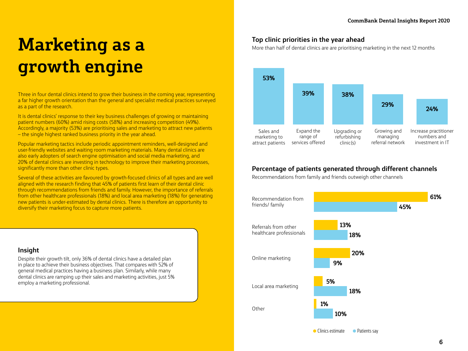### **Marketing as a growth engine**

Three in four dental clinics intend to grow their business in the coming year, representing a far higher growth orientation than the general and specialist medical practices surveyed as a part of the research.

It is dental clinics' response to their key business challenges of growing or maintaining patient numbers (60%) amid rising costs (58%) and increasing competition (49%). Accordingly, a majority (53%) are prioritising sales and marketing to attract new patients – the single highest ranked business priority in the year ahead.

Popular marketing tactics include periodic appointment reminders, well-designed and user-friendly websites and waiting room marketing materials. Many dental clinics are also early adopters of search engine optimisation and social media marketing, and 20% of dental clinics are investing in technology to improve their marketing processes, significantly more than other clinic types.

Several of these activities are favoured by growth-focused clinics of all types and are well aligned with the research finding that 45% of patients first learn of their dental clinic through recommendations from friends and family. However, the importance of referrals from other healthcare professionals (18%) and local area marketing (18%) for generating new patients is under-estimated by dental clinics. There is therefore an opportunity to diversify their marketing focus to capture more patients.

#### **Insight**

Despite their growth tilt, only 36% of dental clinics have a detailed plan in place to achieve their business objectives. That compares with 52% of general medical practices having a business plan. Similarly, while many dental clinics are ramping up their sales and marketing activities, just 5% employ a marketing professional.

#### **Top clinic priorities in the year ahead**

More than half of dental clinics are are prioritising marketing in the next 12 months



#### **Percentage of patients generated through different channels**

Recommendations from family and friends outweigh other channels

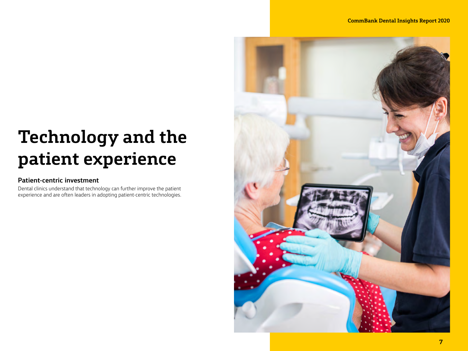## **Technology and the patient experience**

### **Patient-centric investment**

Dental clinics understand that technology can further improve the patient experience and are often leaders in adopting patient-centric technologies.

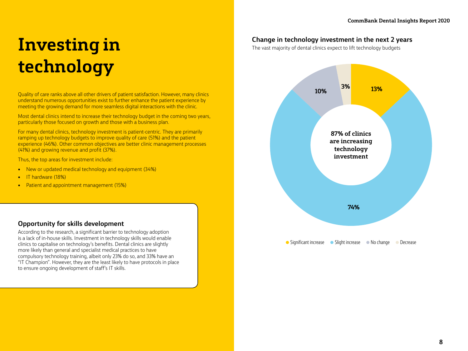### **Investing in technology**

• Significant increase • Slight increase • No change • Decrease **74% 10% 3% 13% 87% of clinics are increasing technology investment**

Quality of care ranks above all other drivers of patient satisfaction. However, many clinics understand numerous opportunities exist to further enhance the patient experience by meeting the growing demand for more seamless digital interactions with the clinic.

Most dental clinics intend to increase their technology budget in the coming two years, particularly those focused on growth and those with a business plan.

For many dental clinics, technology investment is patient-centric. They are primarily ramping up technology budgets to improve quality of care (51%) and the patient experience (46%). Other common objectives are better clinic management processes (41%) and growing revenue and profit (37%).

Thus, the top areas for investment include:

- New or updated medical technology and equipment (34%)
- IT hardware (18%)
- Patient and appointment management (15%)



According to the research, a significant barrier to technology adoption is a lack of in-house skills. Investment in technology skills would enable clinics to capitalise on technology's benefits. Dental clinics are slightly more likely than general and specialist medical practices to have compulsory technology training, albeit only 23% do so, and 33% have an "IT Champion". However, they are the least likely to have protocols in place to ensure ongoing development of staff's IT skills.

#### **Change in technology investment in the next 2 years**

The vast majority of dental clinics expect to lift technology budgets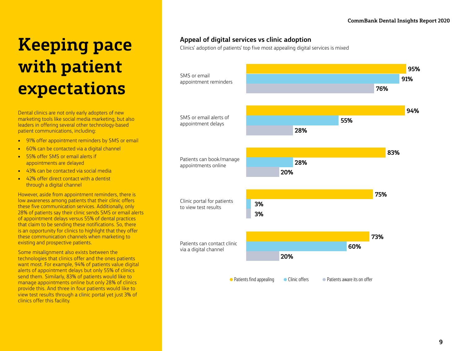### **Keeping pace with patient expectations**

Dental clinics are not only early adopters of new marketing tools like social media marketing, but also leaders in offering several other technology-based patient communications, including:

- 91% offer appointment reminders by SMS or email
- 60% can be contacted via a digital channel
- 55% offer SMS or email alerts if appointments are delayed
- 43% can be contacted via social media
- 42% offer direct contact with a dentist through a digital channel

However, aside from appointment reminders, there is low awareness among patients that their clinic offers these five communication services. Additionally, only 28% of patients say their clinic sends SMS or email alerts of appointment delays versus 55% of dental practices that claim to be sending these notifications. So, there is an opportunity for clinics to highlight that they offer these communication channels when marketing to existing and prospective patients.

Some misalignment also exists between the technologies that clinics offer and the ones patients want most. For example, 94% of patients value digital alerts of appointment delays but only 55% of clinics send them. Similarly, 83% of patients would like to manage appointments online but only 28% of clinics provide this. And three in four patients would like to view test results through a clinic portal yet just 3% of clinics offer this facility.

#### **Appeal of digital services vs clinic adoption**

Clinics' adoption of patients' top five most appealing digital services is mixed

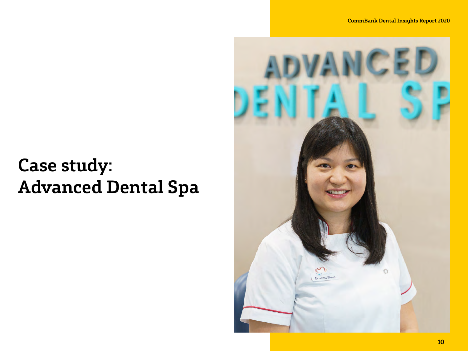# **Case study: Advanced Dental Spa**

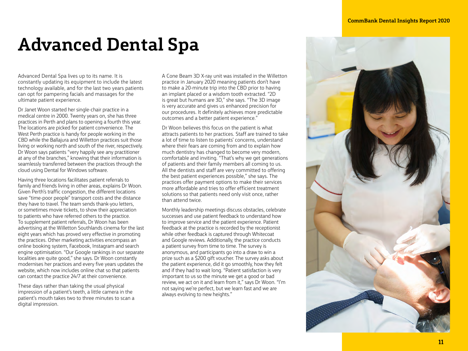### **Advanced Dental Spa**

Advanced Dental Spa lives up to its name. It is constantly updating its equipment to include the latest technology available, and for the last two years patients can opt for pampering facials and massages for the ultimate patient experience.

Dr Janet Woon started her single-chair practice in a medical centre in 2000. Twenty years on, she has three practices in Perth and plans to opening a fourth this year. The locations are picked for patient convenience. The West Perth practice is handy for people working in the CBD while the Ballajura and Willetton practices suit those living or working north and south of the river, respectively. Dr Woon says patients "very happily see any practitioner at any of the branches," knowing that their information is seamlessly transferred between the practices through the cloud using Dental for Windows software.

Having three locations facilitates patient referrals to family and friends living in other areas, explains Dr Woon. Given Perth's traffic congestion, the different locations save "time-poor people" transport costs and the distance they have to travel. The team sends thank-you letters, or sometimes movie tickets, to show their appreciation to patients who have referred others to the practice. To supplement patient referrals, Dr Woon has been advertising at the Willetton Southlands cinema for the last eight years which has proved very effective in promoting the practices. Other marketing activities encompass an online booking system, Facebook, Instagram and search engine optimisation. "Our Google rankings in our separate localities are quite good," she says. Dr Woon constantly modernises her practices and every five years updates the website, which now includes online chat so that patients can contact the practice 24/7 at their convenience.

These days rather than taking the usual physical impression of a patient's teeth, a little camera in the patient's mouth takes two to three minutes to scan a digital impression.

A Cone Beam 3D X-ray unit was installed in the Willetton practice in January 2020 meaning patients don't have to make a 20-minute trip into the CBD prior to having an implant placed or a wisdom tooth extracted. "2D is great but humans are 3D," she says. "The 3D image is very accurate and gives us enhanced precision for our procedures. It definitely achieves more predictable outcomes and a better patient experience."

Dr Woon believes this focus on the patient is what attracts patients to her practices. Staff are trained to take a lot of time to listen to patients' concerns, understand where their fears are coming from and to explain how much dentistry has changed to become very modern, comfortable and inviting. "That's why we get generations of patients and their family members all coming to us. All the dentists and staff are very committed to offering the best patient experiences possible," she says. The practices offer payment options to make their services more affordable and tries to offer efficient treatment solutions so that patients need only visit once, rather than attend twice.

Monthly leadership meetings discuss obstacles, celebrate successes and use patient feedback to understand how to improve service and the patient experience. Patient feedback at the practice is recorded by the receptionist while other feedback is captured through Whitecoat and Google reviews. Additionally, the practice conducts a patient survey from time to time. The survey is anonymous, and participants go into a draw to win a prize such as a \$200 gift voucher. The survey asks about the patient experience, did it go smoothly, how they felt and if they had to wait long. "Patient satisfaction is very important to us so the minute we get a good or bad review, we act on it and learn from it," says Dr Woon. "I'm not saying we're perfect, but we learn fast and we are always evolving to new heights."

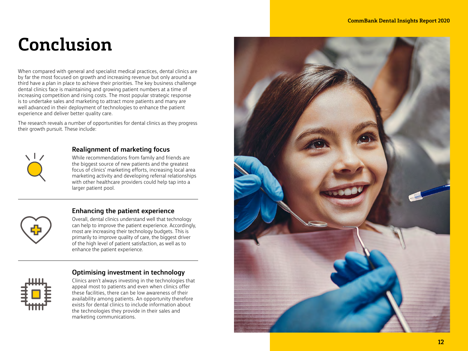### **Conclusion**

When compared with general and specialist medical practices, dental clinics are by far the most focused on growth and increasing revenue but only around a third have a plan in place to achieve their priorities. The key business challenge dental clinics face is maintaining and growing patient numbers at a time of increasing competition and rising costs. The most popular strategic response is to undertake sales and marketing to attract more patients and many are well advanced in their deployment of technologies to enhance the patient experience and deliver better quality care.

The research reveals a number of opportunities for dental clinics as they progress their growth pursuit. These include:



#### **Realignment of marketing focus**

While recommendations from family and friends are the biggest source of new patients and the greatest focus of clinics' marketing efforts, increasing local area marketing activity and developing referral relationships with other healthcare providers could help tap into a larger patient pool.

#### **Enhancing the patient experience**

Overall, dental clinics understand well that technology can help to improve the patient experience. Accordingly, most are increasing their technology budgets. This is primarily to improve quality of care, the biggest driver of the high level of patient satisfaction, as well as to enhance the patient experience.



#### **Optimising investment in technology**

Clinics aren't always investing in the technologies that appeal most to patients and even when clinics offer these facilities, there can be low awareness of their availability among patients. An opportunity therefore exists for dental clinics to include information about the technologies they provide in their sales and marketing communications.